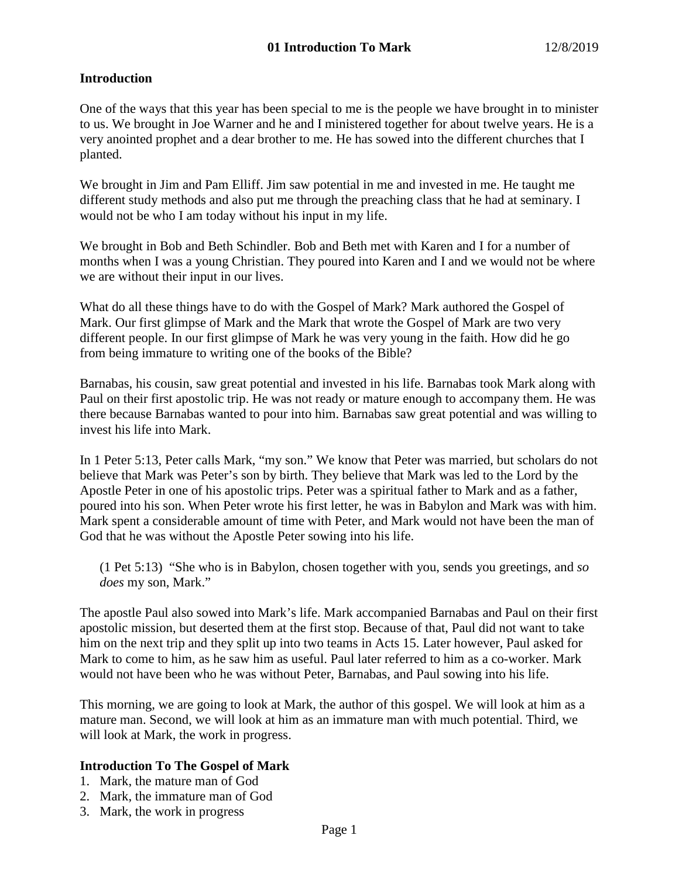## **Introduction**

One of the ways that this year has been special to me is the people we have brought in to minister to us. We brought in Joe Warner and he and I ministered together for about twelve years. He is a very anointed prophet and a dear brother to me. He has sowed into the different churches that I planted.

We brought in Jim and Pam Elliff. Jim saw potential in me and invested in me. He taught me different study methods and also put me through the preaching class that he had at seminary. I would not be who I am today without his input in my life.

We brought in Bob and Beth Schindler. Bob and Beth met with Karen and I for a number of months when I was a young Christian. They poured into Karen and I and we would not be where we are without their input in our lives.

What do all these things have to do with the Gospel of Mark? Mark authored the Gospel of Mark. Our first glimpse of Mark and the Mark that wrote the Gospel of Mark are two very different people. In our first glimpse of Mark he was very young in the faith. How did he go from being immature to writing one of the books of the Bible?

Barnabas, his cousin, saw great potential and invested in his life. Barnabas took Mark along with Paul on their first apostolic trip. He was not ready or mature enough to accompany them. He was there because Barnabas wanted to pour into him. Barnabas saw great potential and was willing to invest his life into Mark.

In 1 Peter 5:13, Peter calls Mark, "my son." We know that Peter was married, but scholars do not believe that Mark was Peter's son by birth. They believe that Mark was led to the Lord by the Apostle Peter in one of his apostolic trips. Peter was a spiritual father to Mark and as a father, poured into his son. When Peter wrote his first letter, he was in Babylon and Mark was with him. Mark spent a considerable amount of time with Peter, and Mark would not have been the man of God that he was without the Apostle Peter sowing into his life.

(1 Pet 5:13) "She who is in Babylon, chosen together with you, sends you greetings, and *so does* my son, Mark."

The apostle Paul also sowed into Mark's life. Mark accompanied Barnabas and Paul on their first apostolic mission, but deserted them at the first stop. Because of that, Paul did not want to take him on the next trip and they split up into two teams in Acts 15. Later however, Paul asked for Mark to come to him, as he saw him as useful. Paul later referred to him as a co-worker. Mark would not have been who he was without Peter, Barnabas, and Paul sowing into his life.

This morning, we are going to look at Mark, the author of this gospel. We will look at him as a mature man. Second, we will look at him as an immature man with much potential. Third, we will look at Mark, the work in progress.

## **Introduction To The Gospel of Mark**

- 1. Mark, the mature man of God
- 2. Mark, the immature man of God
- 3. Mark, the work in progress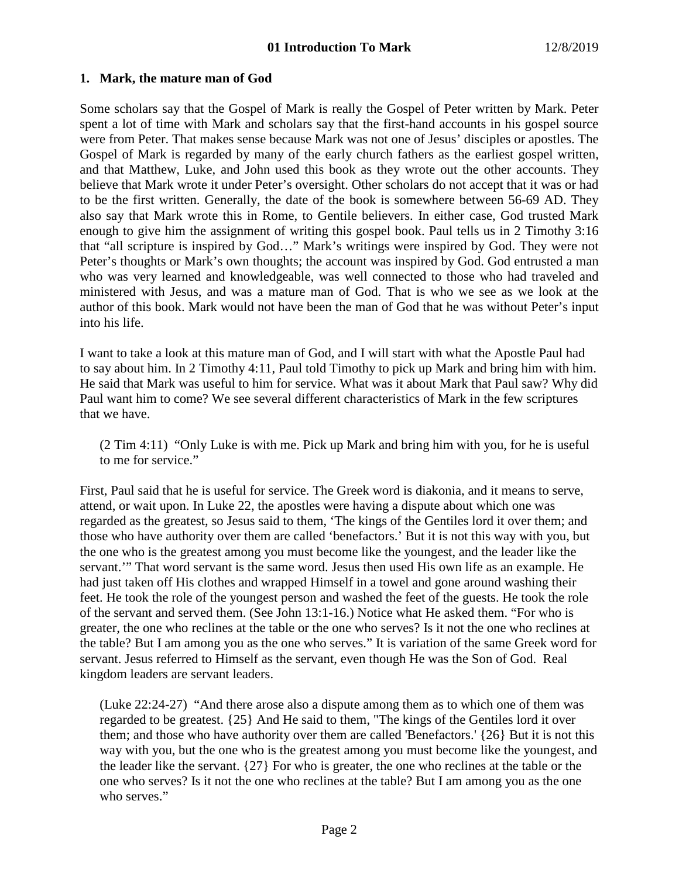### **1. Mark, the mature man of God**

Some scholars say that the Gospel of Mark is really the Gospel of Peter written by Mark. Peter spent a lot of time with Mark and scholars say that the first-hand accounts in his gospel source were from Peter. That makes sense because Mark was not one of Jesus' disciples or apostles. The Gospel of Mark is regarded by many of the early church fathers as the earliest gospel written, and that Matthew, Luke, and John used this book as they wrote out the other accounts. They believe that Mark wrote it under Peter's oversight. Other scholars do not accept that it was or had to be the first written. Generally, the date of the book is somewhere between 56-69 AD. They also say that Mark wrote this in Rome, to Gentile believers. In either case, God trusted Mark enough to give him the assignment of writing this gospel book. Paul tells us in 2 Timothy 3:16 that "all scripture is inspired by God…" Mark's writings were inspired by God. They were not Peter's thoughts or Mark's own thoughts; the account was inspired by God. God entrusted a man who was very learned and knowledgeable, was well connected to those who had traveled and ministered with Jesus, and was a mature man of God. That is who we see as we look at the author of this book. Mark would not have been the man of God that he was without Peter's input into his life.

I want to take a look at this mature man of God, and I will start with what the Apostle Paul had to say about him. In 2 Timothy 4:11, Paul told Timothy to pick up Mark and bring him with him. He said that Mark was useful to him for service. What was it about Mark that Paul saw? Why did Paul want him to come? We see several different characteristics of Mark in the few scriptures that we have.

(2 Tim 4:11) "Only Luke is with me. Pick up Mark and bring him with you, for he is useful to me for service."

First, Paul said that he is useful for service. The Greek word is diakonia, and it means to serve, attend, or wait upon. In Luke 22, the apostles were having a dispute about which one was regarded as the greatest, so Jesus said to them, 'The kings of the Gentiles lord it over them; and those who have authority over them are called 'benefactors.' But it is not this way with you, but the one who is the greatest among you must become like the youngest, and the leader like the servant.'" That word servant is the same word. Jesus then used His own life as an example. He had just taken off His clothes and wrapped Himself in a towel and gone around washing their feet. He took the role of the youngest person and washed the feet of the guests. He took the role of the servant and served them. (See John 13:1-16.) Notice what He asked them. "For who is greater, the one who reclines at the table or the one who serves? Is it not the one who reclines at the table? But I am among you as the one who serves." It is variation of the same Greek word for servant. Jesus referred to Himself as the servant, even though He was the Son of God. Real kingdom leaders are servant leaders.

(Luke 22:24-27) "And there arose also a dispute among them as to which one of them was regarded to be greatest. {25} And He said to them, "The kings of the Gentiles lord it over them; and those who have authority over them are called 'Benefactors.' {26} But it is not this way with you, but the one who is the greatest among you must become like the youngest, and the leader like the servant. {27} For who is greater, the one who reclines at the table or the one who serves? Is it not the one who reclines at the table? But I am among you as the one who serves."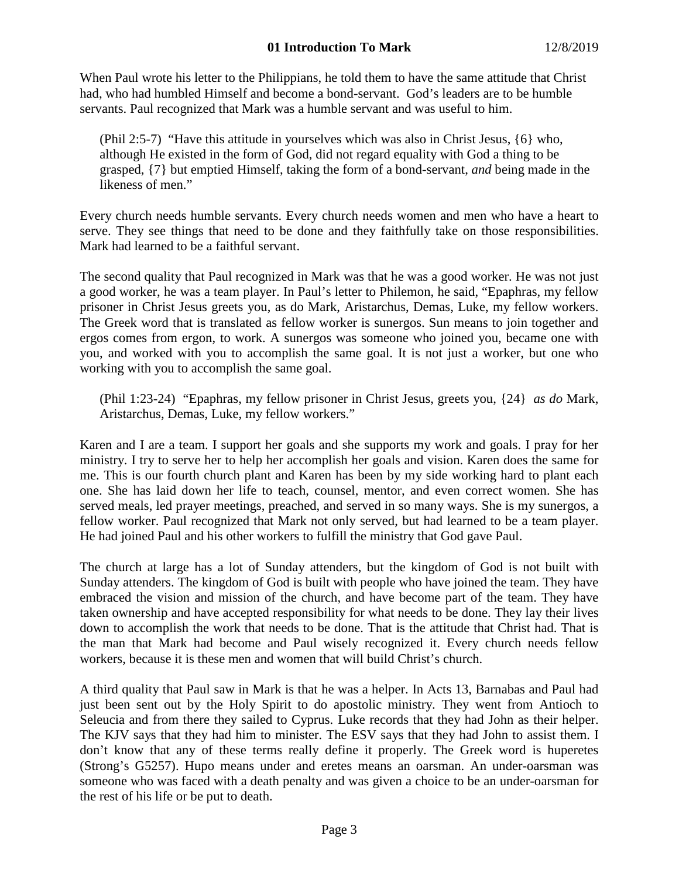When Paul wrote his letter to the Philippians, he told them to have the same attitude that Christ had, who had humbled Himself and become a bond-servant. God's leaders are to be humble servants. Paul recognized that Mark was a humble servant and was useful to him.

(Phil 2:5-7) "Have this attitude in yourselves which was also in Christ Jesus, {6} who, although He existed in the form of God, did not regard equality with God a thing to be grasped, {7} but emptied Himself, taking the form of a bond-servant, *and* being made in the likeness of men."

Every church needs humble servants. Every church needs women and men who have a heart to serve. They see things that need to be done and they faithfully take on those responsibilities. Mark had learned to be a faithful servant.

The second quality that Paul recognized in Mark was that he was a good worker. He was not just a good worker, he was a team player. In Paul's letter to Philemon, he said, "Epaphras, my fellow prisoner in Christ Jesus greets you, as do Mark, Aristarchus, Demas, Luke, my fellow workers. The Greek word that is translated as fellow worker is sunergos. Sun means to join together and ergos comes from ergon, to work. A sunergos was someone who joined you, became one with you, and worked with you to accomplish the same goal. It is not just a worker, but one who working with you to accomplish the same goal.

(Phil 1:23-24) "Epaphras, my fellow prisoner in Christ Jesus, greets you, {24} *as do* Mark, Aristarchus, Demas, Luke, my fellow workers."

Karen and I are a team. I support her goals and she supports my work and goals. I pray for her ministry. I try to serve her to help her accomplish her goals and vision. Karen does the same for me. This is our fourth church plant and Karen has been by my side working hard to plant each one. She has laid down her life to teach, counsel, mentor, and even correct women. She has served meals, led prayer meetings, preached, and served in so many ways. She is my sunergos, a fellow worker. Paul recognized that Mark not only served, but had learned to be a team player. He had joined Paul and his other workers to fulfill the ministry that God gave Paul.

The church at large has a lot of Sunday attenders, but the kingdom of God is not built with Sunday attenders. The kingdom of God is built with people who have joined the team. They have embraced the vision and mission of the church, and have become part of the team. They have taken ownership and have accepted responsibility for what needs to be done. They lay their lives down to accomplish the work that needs to be done. That is the attitude that Christ had. That is the man that Mark had become and Paul wisely recognized it. Every church needs fellow workers, because it is these men and women that will build Christ's church.

A third quality that Paul saw in Mark is that he was a helper. In Acts 13, Barnabas and Paul had just been sent out by the Holy Spirit to do apostolic ministry. They went from Antioch to Seleucia and from there they sailed to Cyprus. Luke records that they had John as their helper. The KJV says that they had him to minister. The ESV says that they had John to assist them. I don't know that any of these terms really define it properly. The Greek word is huperetes (Strong's G5257). Hupo means under and eretes means an oarsman. An under-oarsman was someone who was faced with a death penalty and was given a choice to be an under-oarsman for the rest of his life or be put to death.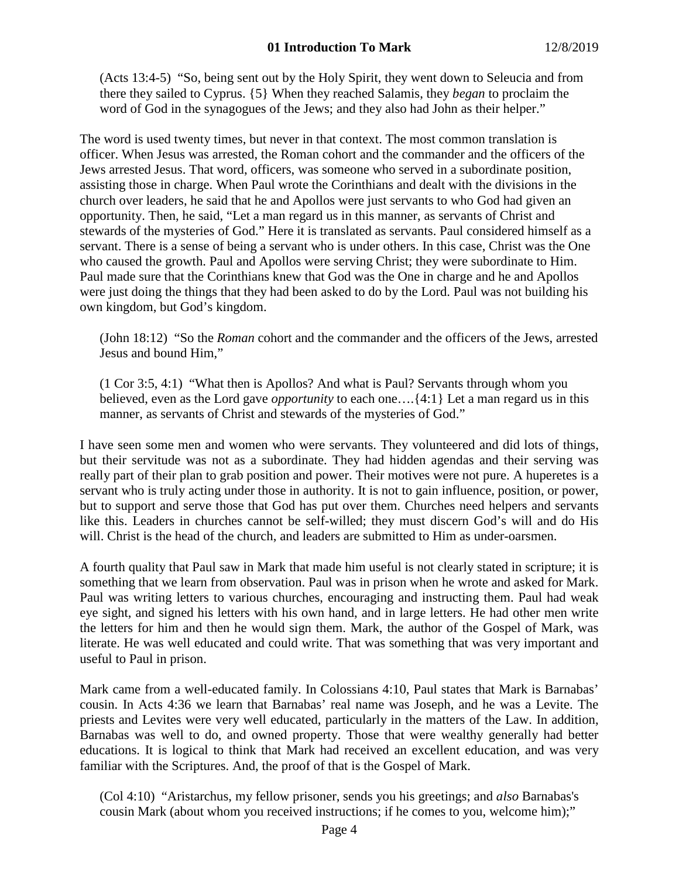(Acts 13:4-5) "So, being sent out by the Holy Spirit, they went down to Seleucia and from there they sailed to Cyprus. {5} When they reached Salamis, they *began* to proclaim the word of God in the synagogues of the Jews; and they also had John as their helper."

The word is used twenty times, but never in that context. The most common translation is officer. When Jesus was arrested, the Roman cohort and the commander and the officers of the Jews arrested Jesus. That word, officers, was someone who served in a subordinate position, assisting those in charge. When Paul wrote the Corinthians and dealt with the divisions in the church over leaders, he said that he and Apollos were just servants to who God had given an opportunity. Then, he said, "Let a man regard us in this manner, as servants of Christ and stewards of the mysteries of God." Here it is translated as servants. Paul considered himself as a servant. There is a sense of being a servant who is under others. In this case, Christ was the One who caused the growth. Paul and Apollos were serving Christ; they were subordinate to Him. Paul made sure that the Corinthians knew that God was the One in charge and he and Apollos were just doing the things that they had been asked to do by the Lord. Paul was not building his own kingdom, but God's kingdom.

(John 18:12) "So the *Roman* cohort and the commander and the officers of the Jews, arrested Jesus and bound Him,"

(1 Cor 3:5, 4:1) "What then is Apollos? And what is Paul? Servants through whom you believed, even as the Lord gave *opportunity* to each one….{4:1} Let a man regard us in this manner, as servants of Christ and stewards of the mysteries of God."

I have seen some men and women who were servants. They volunteered and did lots of things, but their servitude was not as a subordinate. They had hidden agendas and their serving was really part of their plan to grab position and power. Their motives were not pure. A huperetes is a servant who is truly acting under those in authority. It is not to gain influence, position, or power, but to support and serve those that God has put over them. Churches need helpers and servants like this. Leaders in churches cannot be self-willed; they must discern God's will and do His will. Christ is the head of the church, and leaders are submitted to Him as under-oarsmen.

A fourth quality that Paul saw in Mark that made him useful is not clearly stated in scripture; it is something that we learn from observation. Paul was in prison when he wrote and asked for Mark. Paul was writing letters to various churches, encouraging and instructing them. Paul had weak eye sight, and signed his letters with his own hand, and in large letters. He had other men write the letters for him and then he would sign them. Mark, the author of the Gospel of Mark, was literate. He was well educated and could write. That was something that was very important and useful to Paul in prison.

Mark came from a well-educated family. In Colossians 4:10, Paul states that Mark is Barnabas' cousin. In Acts 4:36 we learn that Barnabas' real name was Joseph, and he was a Levite. The priests and Levites were very well educated, particularly in the matters of the Law. In addition, Barnabas was well to do, and owned property. Those that were wealthy generally had better educations. It is logical to think that Mark had received an excellent education, and was very familiar with the Scriptures. And, the proof of that is the Gospel of Mark.

(Col 4:10) "Aristarchus, my fellow prisoner, sends you his greetings; and *also* Barnabas's cousin Mark (about whom you received instructions; if he comes to you, welcome him);"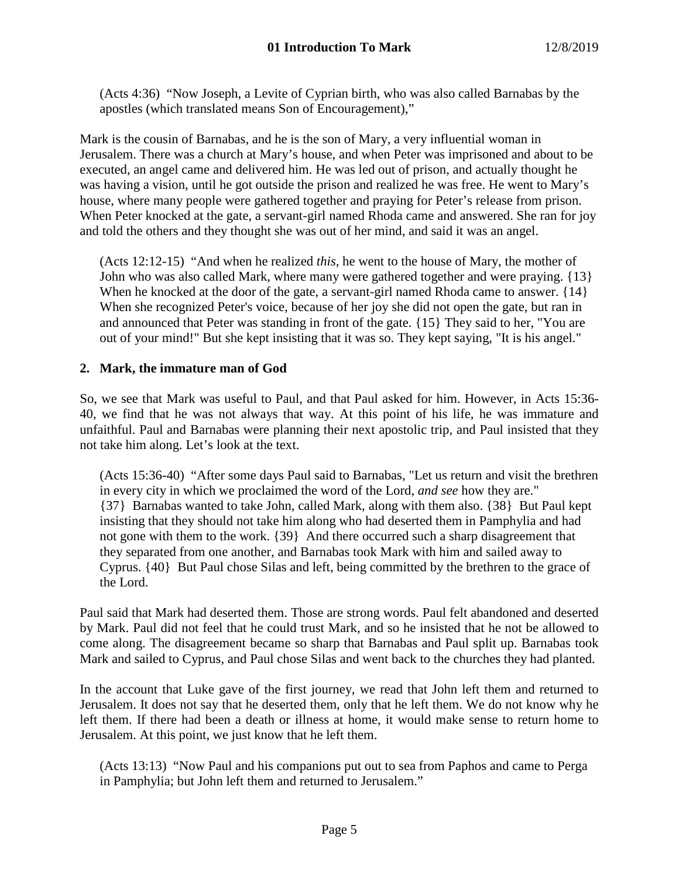(Acts 4:36) "Now Joseph, a Levite of Cyprian birth, who was also called Barnabas by the apostles (which translated means Son of Encouragement),"

Mark is the cousin of Barnabas, and he is the son of Mary, a very influential woman in Jerusalem. There was a church at Mary's house, and when Peter was imprisoned and about to be executed, an angel came and delivered him. He was led out of prison, and actually thought he was having a vision, until he got outside the prison and realized he was free. He went to Mary's house, where many people were gathered together and praying for Peter's release from prison. When Peter knocked at the gate, a servant-girl named Rhoda came and answered. She ran for joy and told the others and they thought she was out of her mind, and said it was an angel.

(Acts 12:12-15) "And when he realized *this,* he went to the house of Mary, the mother of John who was also called Mark, where many were gathered together and were praying. {13} When he knocked at the door of the gate, a servant-girl named Rhoda came to answer. {14} When she recognized Peter's voice, because of her joy she did not open the gate, but ran in and announced that Peter was standing in front of the gate. {15} They said to her, "You are out of your mind!" But she kept insisting that it was so. They kept saying, "It is his angel."

# **2. Mark, the immature man of God**

So, we see that Mark was useful to Paul, and that Paul asked for him. However, in Acts 15:36- 40, we find that he was not always that way. At this point of his life, he was immature and unfaithful. Paul and Barnabas were planning their next apostolic trip, and Paul insisted that they not take him along. Let's look at the text.

(Acts 15:36-40) "After some days Paul said to Barnabas, "Let us return and visit the brethren in every city in which we proclaimed the word of the Lord, *and see* how they are." {37} Barnabas wanted to take John, called Mark, along with them also. {38} But Paul kept insisting that they should not take him along who had deserted them in Pamphylia and had not gone with them to the work. {39} And there occurred such a sharp disagreement that they separated from one another, and Barnabas took Mark with him and sailed away to Cyprus. {40} But Paul chose Silas and left, being committed by the brethren to the grace of the Lord.

Paul said that Mark had deserted them. Those are strong words. Paul felt abandoned and deserted by Mark. Paul did not feel that he could trust Mark, and so he insisted that he not be allowed to come along. The disagreement became so sharp that Barnabas and Paul split up. Barnabas took Mark and sailed to Cyprus, and Paul chose Silas and went back to the churches they had planted.

In the account that Luke gave of the first journey, we read that John left them and returned to Jerusalem. It does not say that he deserted them, only that he left them. We do not know why he left them. If there had been a death or illness at home, it would make sense to return home to Jerusalem. At this point, we just know that he left them.

(Acts 13:13) "Now Paul and his companions put out to sea from Paphos and came to Perga in Pamphylia; but John left them and returned to Jerusalem."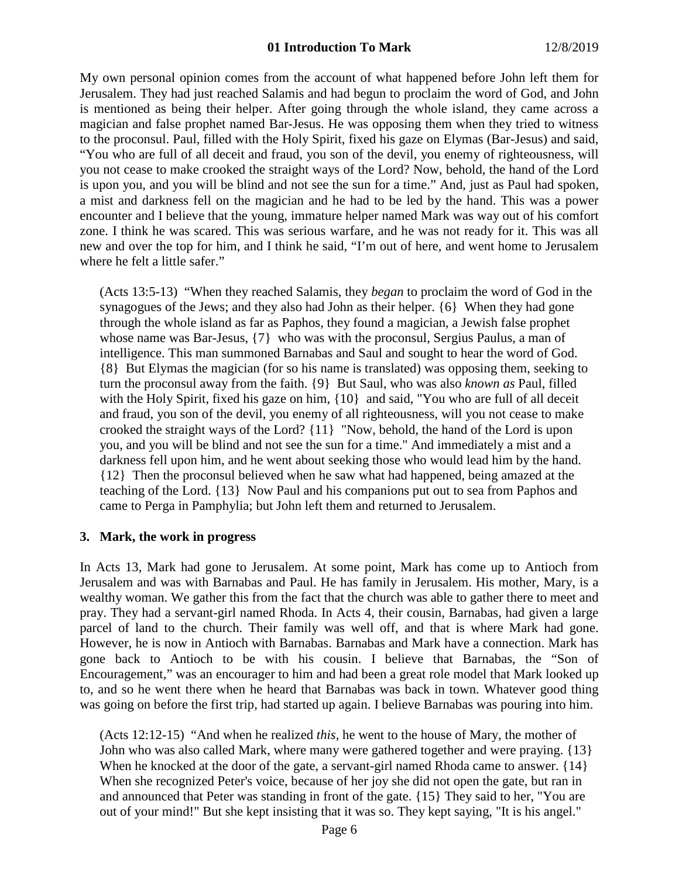### **01 Introduction To Mark** 12/8/2019

My own personal opinion comes from the account of what happened before John left them for Jerusalem. They had just reached Salamis and had begun to proclaim the word of God, and John is mentioned as being their helper. After going through the whole island, they came across a magician and false prophet named Bar-Jesus. He was opposing them when they tried to witness to the proconsul. Paul, filled with the Holy Spirit, fixed his gaze on Elymas (Bar-Jesus) and said, "You who are full of all deceit and fraud, you son of the devil, you enemy of righteousness, will you not cease to make crooked the straight ways of the Lord? Now, behold, the hand of the Lord is upon you, and you will be blind and not see the sun for a time." And, just as Paul had spoken, a mist and darkness fell on the magician and he had to be led by the hand. This was a power encounter and I believe that the young, immature helper named Mark was way out of his comfort zone. I think he was scared. This was serious warfare, and he was not ready for it. This was all new and over the top for him, and I think he said, "I'm out of here, and went home to Jerusalem where he felt a little safer."

(Acts 13:5-13) "When they reached Salamis, they *began* to proclaim the word of God in the synagogues of the Jews; and they also had John as their helper. {6} When they had gone through the whole island as far as Paphos, they found a magician, a Jewish false prophet whose name was Bar-Jesus, {7} who was with the proconsul, Sergius Paulus, a man of intelligence. This man summoned Barnabas and Saul and sought to hear the word of God. {8} But Elymas the magician (for so his name is translated) was opposing them, seeking to turn the proconsul away from the faith. {9} But Saul, who was also *known as* Paul, filled with the Holy Spirit, fixed his gaze on him,  $\{10\}$  and said, "You who are full of all deceit and fraud, you son of the devil, you enemy of all righteousness, will you not cease to make crooked the straight ways of the Lord? {11} "Now, behold, the hand of the Lord is upon you, and you will be blind and not see the sun for a time." And immediately a mist and a darkness fell upon him, and he went about seeking those who would lead him by the hand. {12} Then the proconsul believed when he saw what had happened, being amazed at the teaching of the Lord. {13} Now Paul and his companions put out to sea from Paphos and came to Perga in Pamphylia; but John left them and returned to Jerusalem.

#### **3. Mark, the work in progress**

In Acts 13, Mark had gone to Jerusalem. At some point, Mark has come up to Antioch from Jerusalem and was with Barnabas and Paul. He has family in Jerusalem. His mother, Mary, is a wealthy woman. We gather this from the fact that the church was able to gather there to meet and pray. They had a servant-girl named Rhoda. In Acts 4, their cousin, Barnabas, had given a large parcel of land to the church. Their family was well off, and that is where Mark had gone. However, he is now in Antioch with Barnabas. Barnabas and Mark have a connection. Mark has gone back to Antioch to be with his cousin. I believe that Barnabas, the "Son of Encouragement," was an encourager to him and had been a great role model that Mark looked up to, and so he went there when he heard that Barnabas was back in town. Whatever good thing was going on before the first trip, had started up again. I believe Barnabas was pouring into him.

(Acts 12:12-15) "And when he realized *this,* he went to the house of Mary, the mother of John who was also called Mark, where many were gathered together and were praying. {13} When he knocked at the door of the gate, a servant-girl named Rhoda came to answer. {14} When she recognized Peter's voice, because of her joy she did not open the gate, but ran in and announced that Peter was standing in front of the gate. {15} They said to her, "You are out of your mind!" But she kept insisting that it was so. They kept saying, "It is his angel."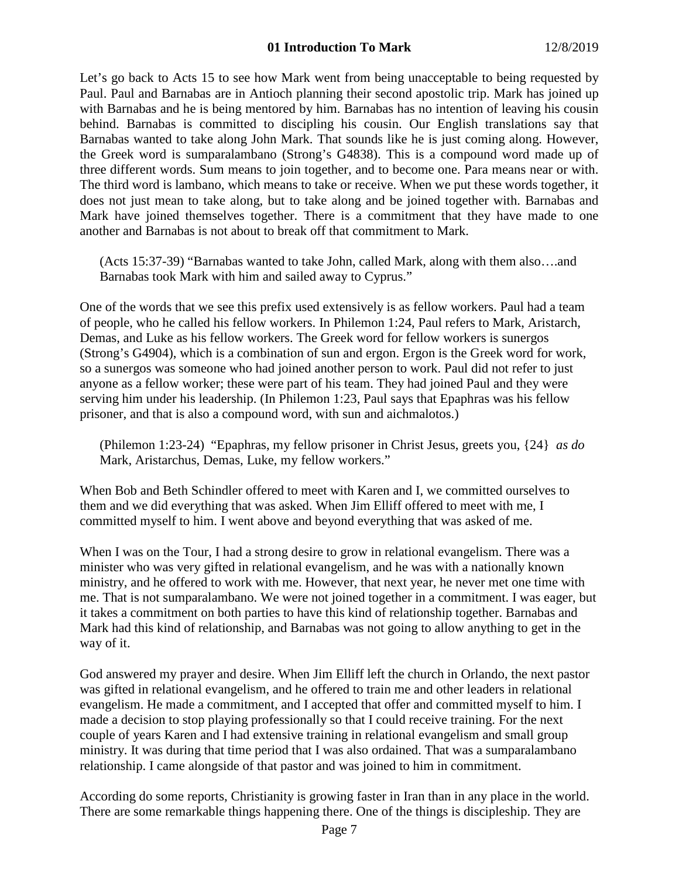Let's go back to Acts 15 to see how Mark went from being unacceptable to being requested by Paul. Paul and Barnabas are in Antioch planning their second apostolic trip. Mark has joined up with Barnabas and he is being mentored by him. Barnabas has no intention of leaving his cousin behind. Barnabas is committed to discipling his cousin. Our English translations say that Barnabas wanted to take along John Mark. That sounds like he is just coming along. However, the Greek word is sumparalambano (Strong's G4838). This is a compound word made up of three different words. Sum means to join together, and to become one. Para means near or with. The third word is lambano, which means to take or receive. When we put these words together, it does not just mean to take along, but to take along and be joined together with. Barnabas and Mark have joined themselves together. There is a commitment that they have made to one another and Barnabas is not about to break off that commitment to Mark.

(Acts 15:37-39) "Barnabas wanted to take John, called Mark, along with them also….and Barnabas took Mark with him and sailed away to Cyprus."

One of the words that we see this prefix used extensively is as fellow workers. Paul had a team of people, who he called his fellow workers. In Philemon 1:24, Paul refers to Mark, Aristarch, Demas, and Luke as his fellow workers. The Greek word for fellow workers is sunergos (Strong's G4904), which is a combination of sun and ergon. Ergon is the Greek word for work, so a sunergos was someone who had joined another person to work. Paul did not refer to just anyone as a fellow worker; these were part of his team. They had joined Paul and they were serving him under his leadership. (In Philemon 1:23, Paul says that Epaphras was his fellow prisoner, and that is also a compound word, with sun and aichmalotos.)

(Philemon 1:23-24) "Epaphras, my fellow prisoner in Christ Jesus, greets you, {24} *as do* Mark, Aristarchus, Demas, Luke, my fellow workers."

When Bob and Beth Schindler offered to meet with Karen and I, we committed ourselves to them and we did everything that was asked. When Jim Elliff offered to meet with me, I committed myself to him. I went above and beyond everything that was asked of me.

When I was on the Tour, I had a strong desire to grow in relational evangelism. There was a minister who was very gifted in relational evangelism, and he was with a nationally known ministry, and he offered to work with me. However, that next year, he never met one time with me. That is not sumparalambano. We were not joined together in a commitment. I was eager, but it takes a commitment on both parties to have this kind of relationship together. Barnabas and Mark had this kind of relationship, and Barnabas was not going to allow anything to get in the way of it.

God answered my prayer and desire. When Jim Elliff left the church in Orlando, the next pastor was gifted in relational evangelism, and he offered to train me and other leaders in relational evangelism. He made a commitment, and I accepted that offer and committed myself to him. I made a decision to stop playing professionally so that I could receive training. For the next couple of years Karen and I had extensive training in relational evangelism and small group ministry. It was during that time period that I was also ordained. That was a sumparalambano relationship. I came alongside of that pastor and was joined to him in commitment.

According do some reports, Christianity is growing faster in Iran than in any place in the world. There are some remarkable things happening there. One of the things is discipleship. They are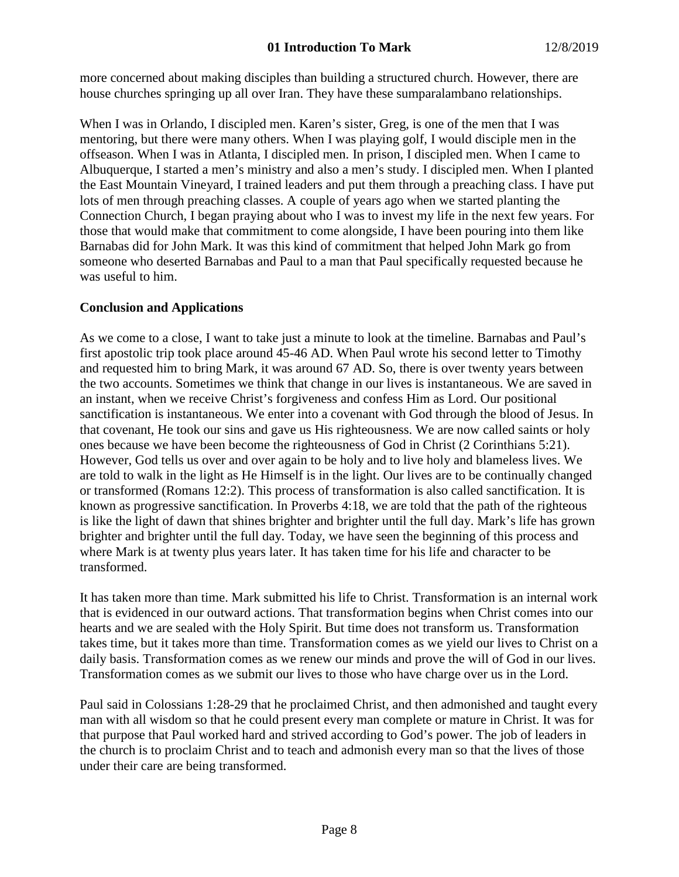more concerned about making disciples than building a structured church. However, there are house churches springing up all over Iran. They have these sumparalambano relationships.

When I was in Orlando, I discipled men. Karen's sister, Greg, is one of the men that I was mentoring, but there were many others. When I was playing golf, I would disciple men in the offseason. When I was in Atlanta, I discipled men. In prison, I discipled men. When I came to Albuquerque, I started a men's ministry and also a men's study. I discipled men. When I planted the East Mountain Vineyard, I trained leaders and put them through a preaching class. I have put lots of men through preaching classes. A couple of years ago when we started planting the Connection Church, I began praying about who I was to invest my life in the next few years. For those that would make that commitment to come alongside, I have been pouring into them like Barnabas did for John Mark. It was this kind of commitment that helped John Mark go from someone who deserted Barnabas and Paul to a man that Paul specifically requested because he was useful to him.

# **Conclusion and Applications**

As we come to a close, I want to take just a minute to look at the timeline. Barnabas and Paul's first apostolic trip took place around 45-46 AD. When Paul wrote his second letter to Timothy and requested him to bring Mark, it was around 67 AD. So, there is over twenty years between the two accounts. Sometimes we think that change in our lives is instantaneous. We are saved in an instant, when we receive Christ's forgiveness and confess Him as Lord. Our positional sanctification is instantaneous. We enter into a covenant with God through the blood of Jesus. In that covenant, He took our sins and gave us His righteousness. We are now called saints or holy ones because we have been become the righteousness of God in Christ (2 Corinthians 5:21). However, God tells us over and over again to be holy and to live holy and blameless lives. We are told to walk in the light as He Himself is in the light. Our lives are to be continually changed or transformed (Romans 12:2). This process of transformation is also called sanctification. It is known as progressive sanctification. In Proverbs 4:18, we are told that the path of the righteous is like the light of dawn that shines brighter and brighter until the full day. Mark's life has grown brighter and brighter until the full day. Today, we have seen the beginning of this process and where Mark is at twenty plus years later. It has taken time for his life and character to be transformed.

It has taken more than time. Mark submitted his life to Christ. Transformation is an internal work that is evidenced in our outward actions. That transformation begins when Christ comes into our hearts and we are sealed with the Holy Spirit. But time does not transform us. Transformation takes time, but it takes more than time. Transformation comes as we yield our lives to Christ on a daily basis. Transformation comes as we renew our minds and prove the will of God in our lives. Transformation comes as we submit our lives to those who have charge over us in the Lord.

Paul said in Colossians 1:28-29 that he proclaimed Christ, and then admonished and taught every man with all wisdom so that he could present every man complete or mature in Christ. It was for that purpose that Paul worked hard and strived according to God's power. The job of leaders in the church is to proclaim Christ and to teach and admonish every man so that the lives of those under their care are being transformed.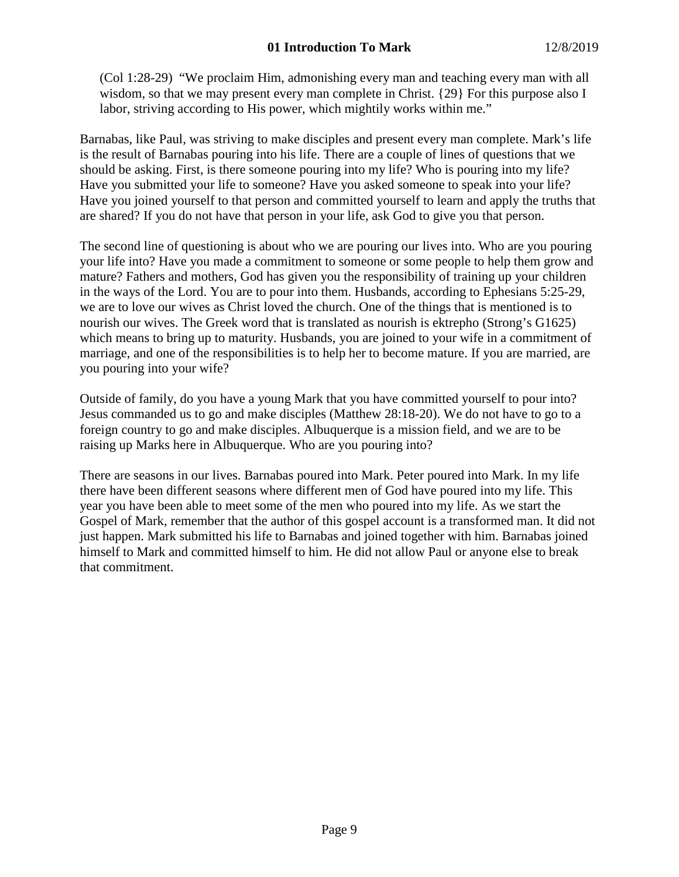(Col 1:28-29) "We proclaim Him, admonishing every man and teaching every man with all wisdom, so that we may present every man complete in Christ. {29} For this purpose also I labor, striving according to His power, which mightily works within me."

Barnabas, like Paul, was striving to make disciples and present every man complete. Mark's life is the result of Barnabas pouring into his life. There are a couple of lines of questions that we should be asking. First, is there someone pouring into my life? Who is pouring into my life? Have you submitted your life to someone? Have you asked someone to speak into your life? Have you joined yourself to that person and committed yourself to learn and apply the truths that are shared? If you do not have that person in your life, ask God to give you that person.

The second line of questioning is about who we are pouring our lives into. Who are you pouring your life into? Have you made a commitment to someone or some people to help them grow and mature? Fathers and mothers, God has given you the responsibility of training up your children in the ways of the Lord. You are to pour into them. Husbands, according to Ephesians 5:25-29, we are to love our wives as Christ loved the church. One of the things that is mentioned is to nourish our wives. The Greek word that is translated as nourish is ektrepho (Strong's G1625) which means to bring up to maturity. Husbands, you are joined to your wife in a commitment of marriage, and one of the responsibilities is to help her to become mature. If you are married, are you pouring into your wife?

Outside of family, do you have a young Mark that you have committed yourself to pour into? Jesus commanded us to go and make disciples (Matthew 28:18-20). We do not have to go to a foreign country to go and make disciples. Albuquerque is a mission field, and we are to be raising up Marks here in Albuquerque. Who are you pouring into?

There are seasons in our lives. Barnabas poured into Mark. Peter poured into Mark. In my life there have been different seasons where different men of God have poured into my life. This year you have been able to meet some of the men who poured into my life. As we start the Gospel of Mark, remember that the author of this gospel account is a transformed man. It did not just happen. Mark submitted his life to Barnabas and joined together with him. Barnabas joined himself to Mark and committed himself to him. He did not allow Paul or anyone else to break that commitment.